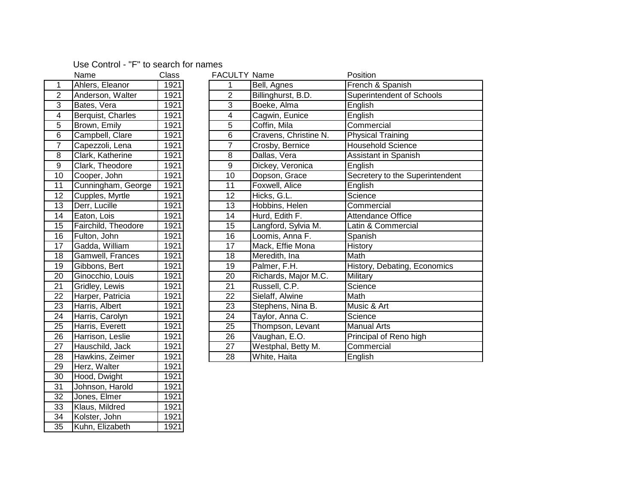## Use Control - "F" to search for names

|                 | name                | UldSS             |
|-----------------|---------------------|-------------------|
| $\overline{1}$  | Ahlers, Eleanor     | 1921              |
| $\overline{2}$  | Anderson, Walter    | $\overline{1921}$ |
| $\overline{3}$  | Bates, Vera         | 1921              |
| 4               | Berquist, Charles   | 1921              |
| 5               | Brown, Emily        | 1921              |
| 6               | Campbell, Clare     | 1921              |
| $\overline{7}$  | Capezzoli, Lena     | 1921              |
| 8               | Clark, Katherine    | 1921              |
| $\overline{9}$  | Clark, Theodore     | 1921              |
| 10              | Cooper, John        | 1921              |
| $\overline{11}$ | Cunningham, George  | 1921              |
| $\overline{12}$ | Cupples, Myrtle     | 1921              |
| $\overline{13}$ | Derr, Lucille       | $\overline{1921}$ |
| $\overline{14}$ | Eaton, Lois         | 1921              |
| $\overline{15}$ | Fairchild, Theodore | 1921              |
| 16              | Fulton, John        | 1921              |
| $\overline{17}$ | Gadda, William      | 1921              |
| $\overline{18}$ | Gamwell, Frances    | 1921              |
| $\overline{19}$ | Gibbons, Bert       | 1921              |
| $\overline{20}$ | Ginocchio, Louis    | 1921              |
| 21              | Gridley, Lewis      | 1921              |
| $\overline{22}$ | Harper, Patricia    | 1921              |
| $\overline{23}$ | Harris, Albert      | 1921              |
| $\overline{24}$ | Harris, Carolyn     | 1921              |
| 25              | Harris, Everett     | 1921              |
| $\frac{26}{5}$  | Harrison, Leslie    | 1921              |
| $\overline{27}$ | Hauschild, Jack     | 1921              |
| 28              | Hawkins, Zeimer     | 1921              |
| $\overline{29}$ | Herz, Walter        | 1921              |
| 30              | Hood, Dwight        | 1921              |
| $\overline{31}$ | Johnson, Harold     | 1921              |
| $\overline{32}$ | Jones, Elmer        | 1921              |
| $\overline{33}$ | Klaus, Mildred      | 1921              |
| 34              | Kolster, John       | 1921              |
| $\overline{35}$ | Kuhn, Elizabeth     | 1921              |

|                         | Name                | Class | <b>FACULTY Name</b> |                       | Position                        |
|-------------------------|---------------------|-------|---------------------|-----------------------|---------------------------------|
| $\mathbf{1}$            | Ahlers, Eleanor     | 1921  | 1                   | Bell, Agnes           | French & Spanish                |
| $\overline{2}$          | Anderson, Walter    | 1921  | $\overline{2}$      | Billinghurst, B.D.    | Superintendent of Schools       |
| $\overline{3}$          | Bates, Vera         | 1921  | 3                   | Boeke, Alma           | English                         |
| $\overline{\mathbf{4}}$ | Berquist, Charles   | 1921  | 4                   | Cagwin, Eunice        | English                         |
| $\sqrt{5}$              | Brown, Emily        | 1921  | 5                   | Coffin, Mila          | Commercial                      |
| $\,6$                   | Campbell, Clare     | 1921  | 6                   | Cravens, Christine N. | <b>Physical Training</b>        |
| $\overline{7}$          | Capezzoli, Lena     | 1921  | 7                   | Crosby, Bernice       | <b>Household Science</b>        |
| 8                       | Clark, Katherine    | 1921  | 8                   | Dallas, Vera          | Assistant in Spanish            |
| $\overline{9}$          | Clark, Theodore     | 1921  | 9                   | Dickey, Veronica      | English                         |
| 10                      | Cooper, John        | 1921  | 10                  | Dopson, Grace         | Secretery to the Superintendent |
| 11                      | Cunningham, George  | 1921  | 11                  | Foxwell, Alice        | English                         |
| 12                      | Cupples, Myrtle     | 1921  | 12                  | Hicks, G.L.           | Science                         |
| 13                      | Derr, Lucille       | 1921  | 13                  | Hobbins, Helen        | Commercial                      |
| $\overline{14}$         | Eaton, Lois         | 1921  | 14                  | Hurd, Edith F.        | <b>Attendance Office</b>        |
| 15                      | Fairchild, Theodore | 1921  | 15                  | Langford, Sylvia M.   | Latin & Commercial              |
| 16                      | Fulton, John        | 1921  | 16                  | Loomis, Anna F.       | Spanish                         |
| 17                      | Gadda, William      | 1921  | 17                  | Mack, Effie Mona      | History                         |
| 18                      | Gamwell, Frances    | 1921  | 18                  | Meredith, Ina         | Math                            |
| $\overline{19}$         | Gibbons, Bert       | 1921  | 19                  | Palmer, F.H.          | History, Debating, Economics    |
| $\frac{20}{1}$          | Ginocchio, Louis    | 1921  | 20                  | Richards, Major M.C.  | Military                        |
| $\overline{21}$         | Gridley, Lewis      | 1921  | 21                  | Russell, C.P.         | Science                         |
| 22<br>23                | Harper, Patricia    | 1921  | 22                  | Sielaff, Alwine       | Math                            |
|                         | Harris, Albert      | 1921  | 23                  | Stephens, Nina B.     | Music & Art                     |
| $\overline{24}$         | Harris, Carolyn     | 1921  | 24                  | Taylor, Anna C.       | Science                         |
| $\overline{25}$         | Harris, Everett     | 1921  | 25                  | Thompson, Levant      | <b>Manual Arts</b>              |
| $\overline{26}$         | Harrison, Leslie    | 1921  | 26                  | Vaughan, E.O.         | Principal of Reno high          |
| $\frac{27}{2}$          | Hauschild, Jack     | 1921  | 27                  | Westphal, Betty M.    | Commercial                      |
| 28                      | Hawkins, Zeimer     | 1921  | 28                  | White, Haita          | English                         |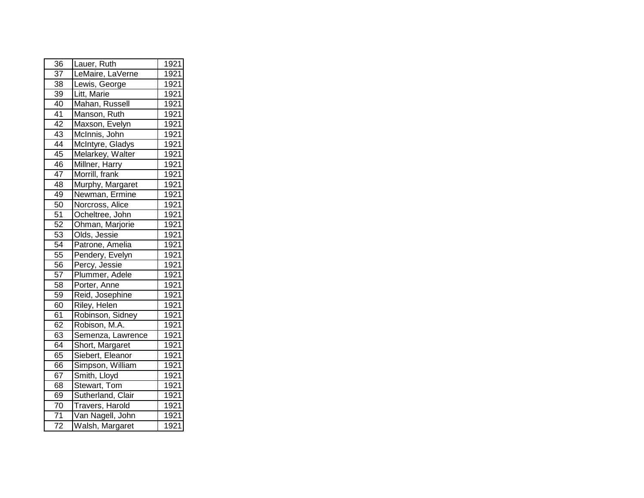| 36              | Lauer, Ruth            | 1921              |
|-----------------|------------------------|-------------------|
| 37              | LeMaire, LaVerne       | 1921              |
| 38              | Lewis, George          | $\overline{1921}$ |
| 39              | Litt, Marie            | 1921              |
| 40              | Mahan, Russell         | 1921              |
| 41              | Manson, Ruth           | 1921              |
| $\overline{42}$ | Maxson, Evelyn         | 1921              |
| 43              | McInnis, John          | 1921              |
| 44              | McIntyre, Gladys       | 1921              |
| 45              | Melarkey, Walter       | 1921              |
| 46              | Millner, Harry         | 1921              |
| 47              | Morrill, frank         | 1921              |
| 48              | Murphy, Margaret       | 1921              |
| 49              | Newman, Ermine         | 1921              |
| 50              | Norcross, Alice        | 1921              |
| 51              | Ocheltree, John        | 1921              |
| $\overline{52}$ | Ohman, Marjorie        | 1921              |
| 53              | Olds, Jessie           | 1921              |
| 54              | Patrone, Amelia        | 1921              |
| 55              | Pendery, Evelyn        | 1921              |
| 56              | Percy, Jessie          | 1921              |
| 57              | Plummer, Adele         | 1921              |
| 58              | Porter, Anne           | 1921              |
| 59              | Reid, Josephine        | 1921              |
| 60              | Riley, Helen           | 1921              |
| 61              | Robinson, Sidney       | 1921              |
| 62              | Robison, M.A.          | 1921              |
| 63              | Semenza, Lawrence      | 1921              |
| 64              | Short, Margaret        | 1921              |
| 65              | Siebert, Eleanor       | 1921              |
| 66              | Simpson, William       | 1921              |
| 67              | Smith, Lloyd           | 1921              |
| 68              | Stewart, Tom           | 1921              |
| 69              | Sutherland, Clair      | 1921              |
| $\overline{70}$ | <b>Travers, Harold</b> | 1921              |
| $\overline{71}$ | Van Nagell, John       | $\frac{1}{192}$   |
| $\overline{72}$ | Walsh, Margaret        | 1921              |